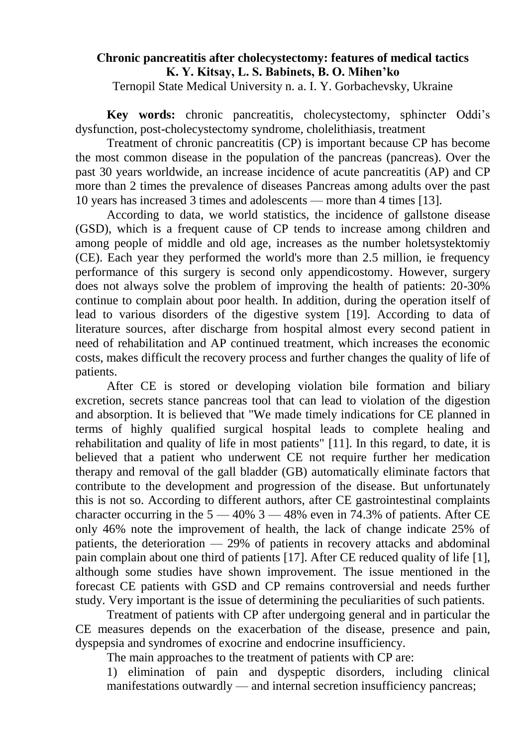## **Сhronic pancreatitis after cholecystectomy: features of medical tactics K. Y. Kitsay, L. S. Babinets, B. O. Mihen'ko**

Ternopil State Medical University n. a. I. Y. Gorbachevsky, Ukraine

**Key words:** chronic pancreatitis, cholecystectomy, sphincter Oddi's dysfunction, post-cholecystectomy syndrome, cholelithiasis, treatment

Treatment of chronic pancreatitis (CP) is important because CP has become the most common disease in the population of the pancreas (pancreas). Over the past 30 years worldwide, an increase incidence of acute pancreatitis (AP) and CP more than 2 times the prevalence of diseases Pancreas among adults over the past 10 years has increased 3 times and adolescents — more than 4 times [13].

According to data, we world statistics, the incidence of gallstone disease (GSD), which is a frequent cause of CP tends to increase among children and among people of middle and old age, increases as the number holetsystektomiy (CE). Each year they performed the world's more than 2.5 million, ie frequency performance of this surgery is second only appendicostomy. However, surgery does not always solve the problem of improving the health of patients: 20-30% continue to complain about poor health. In addition, during the operation itself of lead to various disorders of the digestive system [19]. According to data of literature sources, after discharge from hospital almost every second patient in need of rehabilitation and AP continued treatment, which increases the economic costs, makes difficult the recovery process and further changes the quality of life of patients.

After CE is stored or developing violation bile formation and biliary excretion, secrets stance pancreas tool that can lead to violation of the digestion and absorption. It is believed that "We made timely indications for CE planned in terms of highly qualified surgical hospital leads to complete healing and rehabilitation and quality of life in most patients" [11]. In this regard, to date, it is believed that a patient who underwent CE not require further her medication therapy and removal of the gall bladder (GB) automatically eliminate factors that contribute to the development and progression of the disease. But unfortunately this is not so. According to different authors, after CE gastrointestinal complaints character occurring in the  $5 - 40\%$  3  $- 48\%$  even in 74.3% of patients. After CE only 46% note the improvement of health, the lack of change indicate 25% of patients, the deterioration — 29% of patients in recovery attacks and abdominal pain complain about one third of patients [17]. After CE reduced quality of life [1], although some studies have shown improvement. The issue mentioned in the forecast CE patients with GSD and CP remains controversial and needs further study. Very important is the issue of determining the peculiarities of such patients.

Treatment of patients with CP after undergoing general and in particular the CE measures depends on the exacerbation of the disease, presence and pain, dyspepsia and syndromes of exocrine and endocrine insufficiency.

The main approaches to the treatment of patients with CP are:

1) elimination of pain and dyspeptic disorders, including clinical manifestations outwardly — and internal secretion insufficiency pancreas;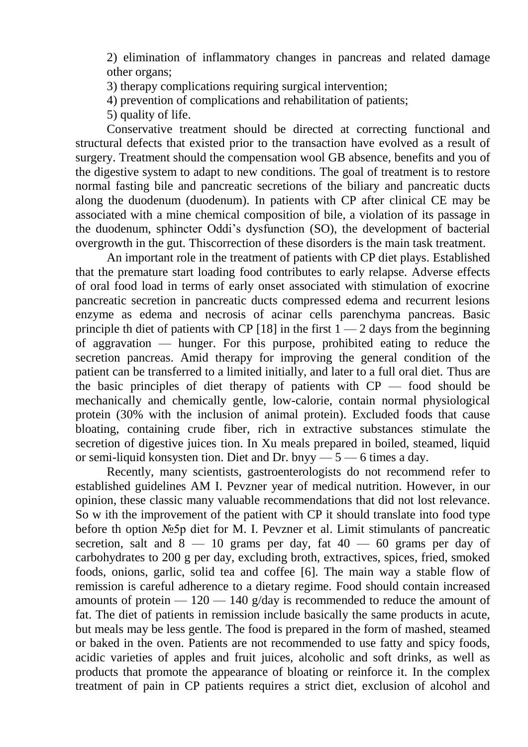2) elimination of inflammatory changes in pancreas and related damage other organs;

- 3) therapy complications requiring surgical intervention;
- 4) prevention of complications and rehabilitation of patients;
- 5) quality of life.

Conservative treatment should be directed at correcting functional and structural defects that existed prior to the transaction have evolved as a result of surgery. Treatment should the compensation wool GB absence, benefits and you of the digestive system to adapt to new conditions. The goal of treatment is to restore normal fasting bile and pancreatic secretions of the biliary and pancreatic ducts along the duodenum (duodenum). In patients with CP after clinical CE may be associated with a mine chemical composition of bile, a violation of its passage in the duodenum, sphincter Oddi's dysfunction (SO), the development of bacterial overgrowth in the gut. Thiscorrection of these disorders is the main task treatment.

An important role in the treatment of patients with CP diet plays. Established that the premature start loading food contributes to early relapse. Adverse effects of oral food load in terms of early onset associated with stimulation of exocrine pancreatic secretion in pancreatic ducts compressed edema and recurrent lesions enzyme as edema and necrosis of acinar cells parenchyma pancreas. Basic principle th diet of patients with CP [18] in the first  $1 - 2$  days from the beginning of aggravation — hunger. For this purpose, prohibited eating to reduce the secretion pancreas. Amid therapy for improving the general condition of the patient can be transferred to a limited initially, and later to a full oral diet. Thus are the basic principles of diet therapy of patients with  $CP$  — food should be mechanically and chemically gentle, low-calorie, contain normal physiological protein (30% with the inclusion of animal protein). Excluded foods that cause bloating, containing crude fiber, rich in extractive substances stimulate the secretion of digestive juices tion. In Xu meals prepared in boiled, steamed, liquid or semi-liquid konsysten tion. Diet and Dr. bnyy  $-5 - 6$  times a day.

Recently, many scientists, gastroenterologists do not recommend refer to established guidelines AM I. Pevzner year of medical nutrition. However, in our opinion, these classic many valuable recommendations that did not lost relevance. So w ith the improvement of the patient with CP it should translate into food type before th option №5p diet for M. I. Pevzner et al. Limit stimulants of pancreatic secretion, salt and  $8 - 10$  grams per day, fat  $40 - 60$  grams per day of carbohydrates to 200 g per day, excluding broth, extractives, spices, fried, smoked foods, onions, garlic, solid tea and coffee [6]. The main way a stable flow of remission is careful adherence to a dietary regime. Food should contain increased amounts of protein  $-120 - 140$  g/day is recommended to reduce the amount of fat. The diet of patients in remission include basically the same products in acute, but meals may be less gentle. The food is prepared in the form of mashed, steamed or baked in the oven. Patients are not recommended to use fatty and spicy foods, acidic varieties of apples and fruit juices, alcoholic and soft drinks, as well as products that promote the appearance of bloating or reinforce it. In the complex treatment of pain in CP patients requires a strict diet, exclusion of alcohol and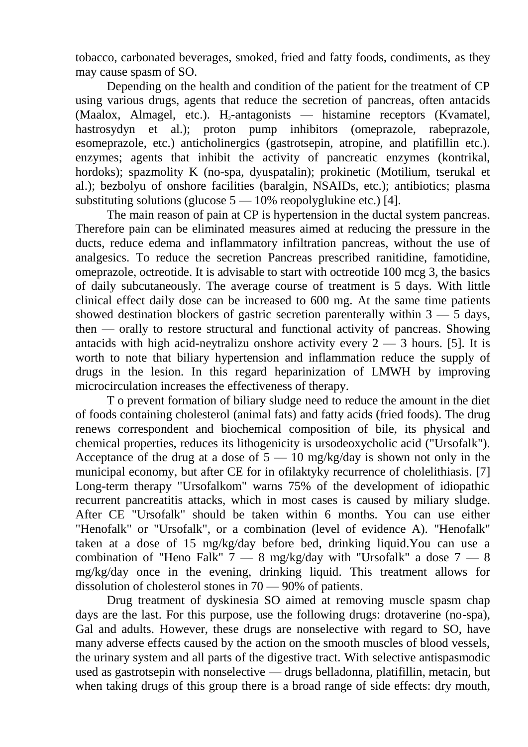tobacco, carbonated beverages, smoked, fried and fatty foods, condiments, as they may cause spasm of SO.

Depending on the health and condition of the patient for the treatment of CP using various drugs, agents that reduce the secretion of pancreas, often antacids  $(Maalox, Almagel, etc.).$  H<sub>2</sub>-antagonists — histamine receptors (Kvamatel, hastrosydyn et al.); proton pump inhibitors (omeprazole, rabeprazole, esomeprazole, etc.) anticholinergics (gastrotsepin, atropine, and platifillin etc.). enzymes; agents that inhibit the activity of pancreatic enzymes (kontrikal, hordoks); spazmolity K (no-spa, dyuspatalin); prokinetic (Motilium, tserukal et al.); bezbolyu of onshore facilities (baralgin, NSAIDs, etc.); antibiotics; plasma substituting solutions (glucose  $5 - 10\%$  reopolyglukine etc.) [4].

The main reason of pain at CP is hypertension in the ductal system pancreas. Therefore pain can be eliminated measures aimed at reducing the pressure in the ducts, reduce edema and inflammatory infiltration pancreas, without the use of analgesics. To reduce the secretion Pancreas prescribed ranitidine, famotidine, omeprazole, octreotide. It is advisable to start with octreotide 100 mcg 3, the basics of daily subcutaneously. The average course of treatment is 5 days. With little clinical effect daily dose can be increased to 600 mg. At the same time patients showed destination blockers of gastric secretion parenterally within  $3 - 5$  days, then — orally to restore structural and functional activity of pancreas. Showing antacids with high acid-neytralizu onshore activity every  $2 - 3$  hours. [5]. It is worth to note that biliary hypertension and inflammation reduce the supply of drugs in the lesion. In this regard heparinization of LMWH by improving microcirculation increases the effectiveness of therapy.

T o prevent formation of biliary sludge need to reduce the amount in the diet of foods containing cholesterol (animal fats) and fatty acids (fried foods). The drug renews correspondent and biochemical composition of bile, its physical and chemical properties, reduces its lithogenicity is ursodeoxycholic acid ("Ursofalk"). Acceptance of the drug at a dose of  $5 - 10$  mg/kg/day is shown not only in the municipal economy, but after CE for in ofilaktyky recurrence of cholelithiasis. [7] Long-term therapy "Ursofalkom" warns 75% of the development of idiopathic recurrent pancreatitis attacks, which in most cases is caused by miliary sludge. After CE "Ursofalk" should be taken within 6 months. You can use either "Henofalk" or "Ursofalk", or a combination (level of evidence A). "Henofalk" taken at a dose of 15 mg/kg/day before bed, drinking liquid.You can use a combination of "Heno Falk"  $7 - 8$  mg/kg/day with "Ursofalk" a dose  $7 - 8$ mg/kg/day once in the evening, drinking liquid. This treatment allows for dissolution of cholesterol stones in 70 — 90% of patients.

Drug treatment of dyskinesia SO aimed at removing muscle spasm chap days are the last. For this purpose, use the following drugs: drotaverine (no-spa), Gal and adults. However, these drugs are nonselective with regard to SO, have many adverse effects caused by the action on the smooth muscles of blood vessels, the urinary system and all parts of the digestive tract. With selective antispasmodic used as gastrotsepin with nonselective — drugs belladonna, platifillin, metacin, but when taking drugs of this group there is a broad range of side effects: dry mouth,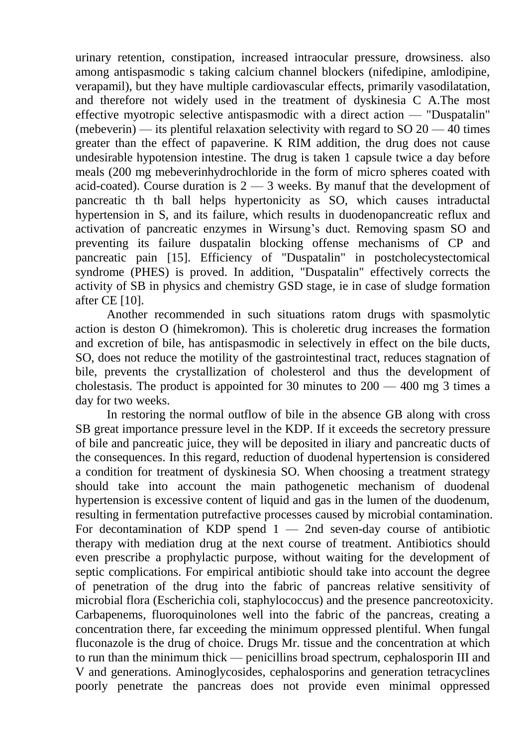urinary retention, constipation, increased intraocular pressure, drowsiness. also among antispasmodic s taking calcium channel blockers (nifedipine, amlodipine, verapamil), but they have multiple cardiovascular effects, primarily vasodilatation, and therefore not widely used in the treatment of dyskinesia C A.The most effective myotropic selective antispasmodic with a direct action — "Duspatalin" (mebeverin) — its plentiful relaxation selectivity with regard to  $SO(20)$  — 40 times greater than the effect of papaverine. K RIM addition, the drug does not cause undesirable hypotension intestine. The drug is taken 1 capsule twice a day before meals (200 mg mebeverinhydrochloride in the form of micro spheres coated with acid-coated). Course duration is  $2 - 3$  weeks. By manuf that the development of pancreatic th th ball helps hypertonicity as SO, which causes intraductal hypertension in S, and its failure, which results in duodenopancreatic reflux and activation of pancreatic enzymes in Wirsung's duct. Removing spasm SO and preventing its failure duspatalin blocking offense mechanisms of CP and pancreatic pain [15]. Efficiency of "Duspatalin" in postcholecystectomical syndrome (PHES) is proved. In addition, "Duspatalin" effectively corrects the activity of SB in physics and chemistry GSD stage, ie in case of sludge formation after CE [10].

Another recommended in such situations ratom drugs with spasmolytic action is deston O (himekromon). This is choleretic drug increases the formation and excretion of bile, has antispasmodic in selectively in effect on the bile ducts, SO, does not reduce the motility of the gastrointestinal tract, reduces stagnation of bile, prevents the crystallization of cholesterol and thus the development of cholestasis. The product is appointed for 30 minutes to  $200 - 400$  mg 3 times a day for two weeks.

In restoring the normal outflow of bile in the absence GB along with cross SB great importance pressure level in the KDP. If it exceeds the secretory pressure of bile and pancreatic juice, they will be deposited in iliary and pancreatic ducts of the consequences. In this regard, reduction of duodenal hypertension is considered a condition for treatment of dyskinesia SO. When choosing a treatment strategy should take into account the main pathogenetic mechanism of duodenal hypertension is excessive content of liquid and gas in the lumen of the duodenum, resulting in fermentation putrefactive processes caused by microbial contamination. For decontamination of KDP spend  $1 - 2$ nd seven-day course of antibiotic therapy with mediation drug at the next course of treatment. Antibiotics should even prescribe a prophylactic purpose, without waiting for the development of septic complications. For empirical antibiotic should take into account the degree of penetration of the drug into the fabric of pancreas relative sensitivity of microbial flora (Escherichia coli, staphylococcus) and the presence pancreotoxicity. Carbapenems, fluoroquinolones well into the fabric of the pancreas, creating a concentration there, far exceeding the minimum oppressed plentiful. When fungal fluconazole is the drug of choice. Drugs Mr. tissue and the concentration at which to run than the minimum thick — penicillins broad spectrum, cephalosporin III and V and generations. Aminoglycosides, cephalosporins and generation tetracyclines poorly penetrate the pancreas does not provide even minimal oppressed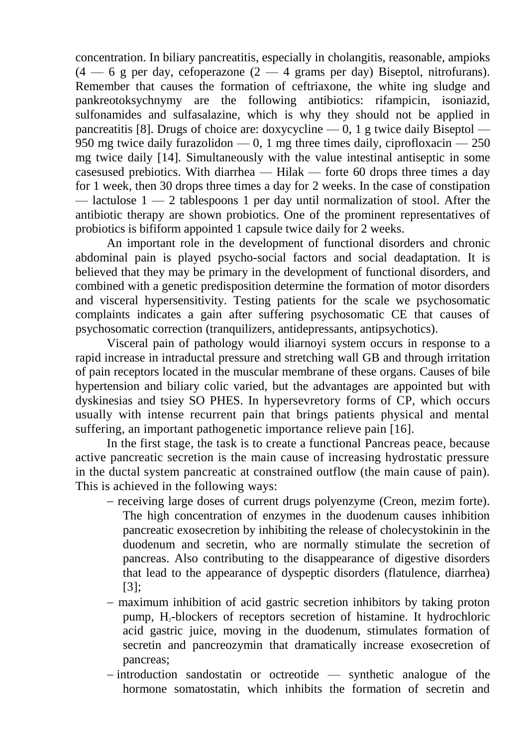concentration. In biliary pancreatitis, especially in cholangitis, reasonable, ampioks  $(4 - 6$  g per day, cefoperazone  $(2 - 4)$  grams per day) Biseptol, nitrofurans). Remember that causes the formation of ceftriaxone, the white ing sludge and pankreotoksychnymy are the following antibiotics: rifampicin, isoniazid, sulfonamides and sulfasalazine, which is why they should not be applied in pancreatitis [8]. Drugs of choice are: doxycycline  $-0$ , 1 g twice daily Biseptol  $-$ 950 mg twice daily furazolidon  $-0$ , 1 mg three times daily, ciprofloxacin  $-250$ mg twice daily [14]. Simultaneously with the value intestinal antiseptic in some casesused prebiotics. With diarrhea — Hilak — forte 60 drops three times a day for 1 week, then 30 drops three times a day for 2 weeks. In the case of constipation — lactulose  $1 - 2$  tablespoons 1 per day until normalization of stool. After the antibiotic therapy are shown probiotics. One of the prominent representatives of probiotics is bifiform appointed 1 capsule twice daily for 2 weeks.

An important role in the development of functional disorders and chronic abdominal pain is played psycho-social factors and social deadaptation. It is believed that they may be primary in the development of functional disorders, and combined with a genetic predisposition determine the formation of motor disorders and visceral hypersensitivity. Testing patients for the scale we psychosomatic complaints indicates a gain after suffering psychosomatic CE that causes of psychosomatic correction (tranquilizers, antidepressants, antipsychotics).

Visceral pain of pathology would iliarnoyi system occurs in response to a rapid increase in intraductal pressure and stretching wall GB and through irritation of pain receptors located in the muscular membrane of these organs. Causes of bile hypertension and biliary colic varied, but the advantages are appointed but with dyskinesias and tsiey SO PHES. In hypersevretory forms of CP, which occurs usually with intense recurrent pain that brings patients physical and mental suffering, an important pathogenetic importance relieve pain [16].

In the first stage, the task is to create a functional Pancreas peace, because active pancreatic secretion is the main cause of increasing hydrostatic pressure in the ductal system pancreatic at constrained outflow (the main cause of pain). This is achieved in the following ways:

- receiving large doses of current drugs polyenzyme (Creon, mezim forte). The high concentration of enzymes in the duodenum causes inhibition pancreatic exosecretion by inhibiting the release of cholecystokinin in the duodenum and secretin, who are normally stimulate the secretion of pancreas. Also contributing to the disappearance of digestive disorders that lead to the appearance of dyspeptic disorders (flatulence, diarrhea) [3];
- maximum inhibition of acid gastric secretion inhibitors by taking proton pump, H2-blockers of receptors secretion of histamine. It hydrochloric acid gastric juice, moving in the duodenum, stimulates formation of secretin and pancreozymin that dramatically increase exosecretion of pancreas;
- $\overline{\phantom{a}}$  introduction sandostatin or octreotide synthetic analogue of the hormone somatostatin, which inhibits the formation of secretin and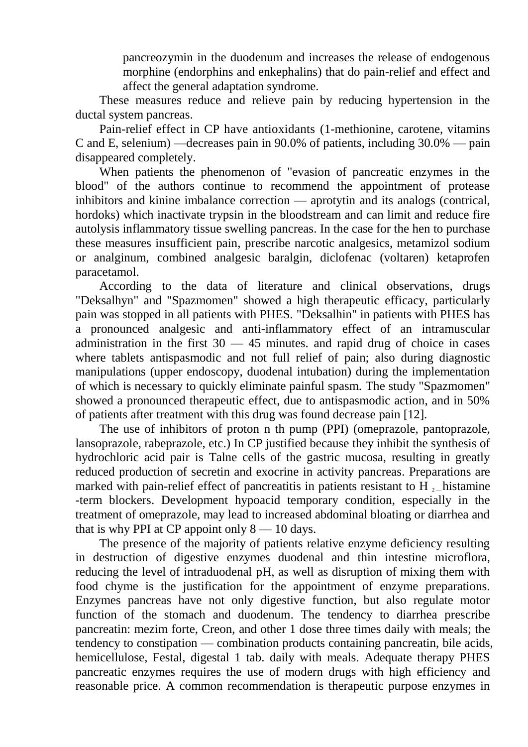pancreozymin in the duodenum and increases the release of endogenous morphine (endorphins and enkephalins) that do pain-relief and effect and affect the general adaptation syndrome.

These measures reduce and relieve pain by reducing hypertension in the ductal system pancreas.

Pain-relief effect in CP have antioxidants (1-methionine, carotene, vitamins C and E, selenium) —decreases pain in 90.0% of patients, including 30.0% — pain disappeared completely.

When patients the phenomenon of "evasion of pancreatic enzymes in the blood" of the authors continue to recommend the appointment of protease inhibitors and kinine imbalance correction — aprotytin and its analogs (contrical, hordoks) which inactivate trypsin in the bloodstream and can limit and reduce fire autolysis inflammatory tissue swelling pancreas. In the case for the hen to purchase these measures insufficient pain, prescribe narcotic analgesics, metamizol sodium or analginum, combined analgesic baralgin, diclofenac (voltaren) ketaprofen paracetamol.

According to the data of literature and clinical observations, drugs "Deksalhyn" and "Spazmomen" showed a high therapeutic efficacy, particularly pain was stopped in all patients with PHES. "Deksalhin" in patients with PHES has a pronounced analgesic and anti-inflammatory effect of an intramuscular administration in the first  $30 - 45$  minutes. and rapid drug of choice in cases where tablets antispasmodic and not full relief of pain; also during diagnostic manipulations (upper endoscopy, duodenal intubation) during the implementation of which is necessary to quickly eliminate painful spasm. The study "Spazmomen" showed a pronounced therapeutic effect, due to antispasmodic action, and in 50% of patients after treatment with this drug was found decrease pain [12].

The use of inhibitors of proton n th pump (PPI) (omeprazole, pantoprazole, lansoprazole, rabeprazole, etc.) In CP justified because they inhibit the synthesis of hydrochloric acid pair is Talne cells of the gastric mucosa, resulting in greatly reduced production of secretin and exocrine in activity pancreas. Preparations are marked with pain-relief effect of pancreatitis in patients resistant to H  $_2$  histamine -term blockers. Development hypoacid temporary condition, especially in the treatment of omeprazole, may lead to increased abdominal bloating or diarrhea and that is why PPI at CP appoint only  $8 - 10$  days.

The presence of the majority of patients relative enzyme deficiency resulting in destruction of digestive enzymes duodenal and thin intestine microflora, reducing the level of intraduodenal pH, as well as disruption of mixing them with food chyme is the justification for the appointment of enzyme preparations. Enzymes pancreas have not only digestive function, but also regulate motor function of the stomach and duodenum. The tendency to diarrhea prescribe pancreatin: mezim forte, Creon, and other 1 dose three times daily with meals; the tendency to constipation — combination products containing pancreatin, bile acids, hemicellulose, Festal, digestal 1 tab. daily with meals. Adequate therapy PHES pancreatic enzymes requires the use of modern drugs with high efficiency and reasonable price. A common recommendation is therapeutic purpose enzymes in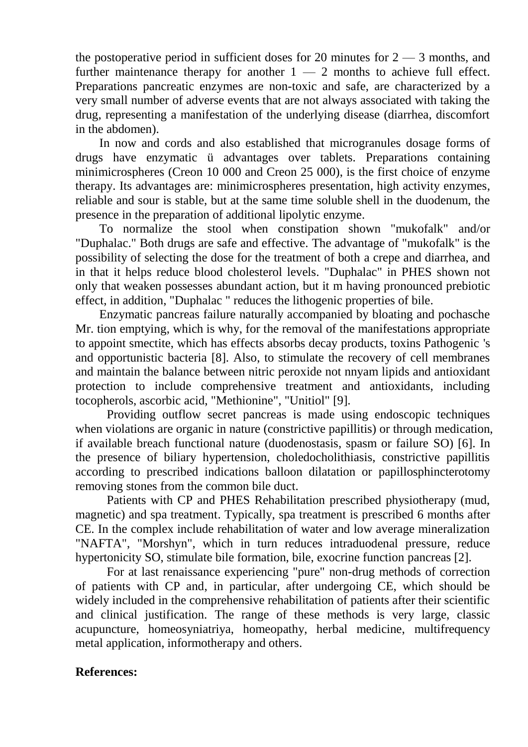the postoperative period in sufficient doses for 20 minutes for  $2 - 3$  months, and further maintenance therapy for another  $1 - 2$  months to achieve full effect. Preparations pancreatic enzymes are non-toxic and safe, are characterized by a very small number of adverse events that are not always associated with taking the drug, representing a manifestation of the underlying disease (diarrhea, discomfort in the abdomen).

In now and cords and also established that microgranules dosage forms of drugs have enzymatic ü advantages over tablets. Preparations containing minimicrospheres (Creon 10 000 and Creon 25 000), is the first choice of enzyme therapy. Its advantages are: minimicrospheres presentation, high activity enzymes, reliable and sour is stable, but at the same time soluble shell in the duodenum, the presence in the preparation of additional lipolytic enzyme.

To normalize the stool when constipation shown "mukofalk" and/or "Duphalac." Both drugs are safe and effective. The advantage of "mukofalk" is the possibility of selecting the dose for the treatment of both a crepe and diarrhea, and in that it helps reduce blood cholesterol levels. "Duphalac" in PHES shown not only that weaken possesses abundant action, but it m having pronounced prebiotic effect, in addition, "Duphalac " reduces the lithogenic properties of bile.

Enzymatic pancreas failure naturally accompanied by bloating and pochasche Mr. tion emptying, which is why, for the removal of the manifestations appropriate to appoint smectite, which has effects absorbs decay products, toxins Pathogenic 's and opportunistic bacteria [8]. Also, to stimulate the recovery of cell membranes and maintain the balance between nitric peroxide not nnyam lipids and antioxidant protection to include comprehensive treatment and antioxidants, including tocopherols, ascorbic acid, "Methionine", "Unitiol" [9].

Providing outflow secret pancreas is made using endoscopic techniques when violations are organic in nature (constrictive papillitis) or through medication, if available breach functional nature (duodenostasis, spasm or failure SO) [6]. In the presence of biliary hypertension, choledocholithiasis, constrictive papillitis according to prescribed indications balloon dilatation or papillosphincterotomy removing stones from the common bile duct.

Patients with CP and PHES Rehabilitation prescribed physiotherapy (mud, magnetic) and spa treatment. Typically, spa treatment is prescribed 6 months after CE. In the complex include rehabilitation of water and low average mineralization "NAFTA", "Morshyn", which in turn reduces intraduodenal pressure, reduce hypertonicity SO, stimulate bile formation, bile, exocrine function pancreas [2].

For at last renaissance experiencing "pure" non-drug methods of correction of patients with CP and, in particular, after undergoing CE, which should be widely included in the comprehensive rehabilitation of patients after their scientific and clinical justification. The range of these methods is very large, classic acupuncture, homeosyniatriya, homeopathy, herbal medicine, multifrequency metal application, informotherapy and others.

## **References:**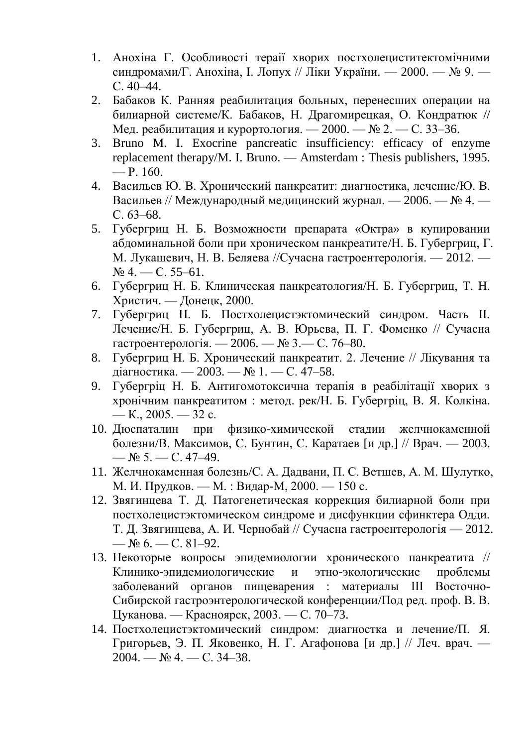- 1. Анохіна Г. Особливості тераії хворих постхолециститектомічними синдромами/Г. Анохіна, І. Лопух // Ліки України. — 2000. — № 9. — С. 40–44.
- 2. Бабаков К. Ранняя реабилитация больных, перенесших операции на билиарной системе/К. Бабаков, Н. Драгомирецкая, О. Кондратюк // Мед. реабилитация и курортология. — 2000. — № 2. — С. 33–36.
- 3. Вruno M. I. Exocrine pancreatic insufficiency: efficacy of enzyme replacement therapy/M. I. Bruno. — Amsterdam : Thesis publishers, 1995.  $- P. 160.$
- 4. Васильев Ю. В. Хронический панкреатит: диагностика, лечение/Ю. В. Васильев // Международный медицинский журнал. — 2006. — № 4. — С. 63–68.
- 5. Губергриц Н. Б. Возможности препарата «Октра» в купировании абдоминальной боли при хроническом панкреатите/Н. Б. Губергриц, Г. М. Лукашевич, Н. В. Беляева //Сучасна гастроентерологія. — 2012. —  $N<sub>2</sub>$  4. — C. 55–61.
- 6. Губергриц Н. Б. Клиническая панкреатология/Н. Б. Губергриц, Т. Н. Христич. — Донецк, 2000.
- 7. Губергриц Н. Б. Постхолецистэктомический синдром. Часть ІІ. Лечение/Н. Б. Губергриц, А. В. Юрьева, П. Г. Фоменко // Сучасна гастроентерологія. — 2006. — № 3.— С. 76–80.
- 8. Губергриц Н. Б. Хронический панкреатит. 2. Лечение // Лікування та діагностика. — 2003. — № 1. — С. 47–58.
- 9. Губергріц Н. Б. Антигомотоксична терапія в реабілітації хворих з хронічним панкреатитом : метод. рек/Н. Б. Губергріц, В. Я. Колкіна. — К.,  $2005. - 32$  c.
- 10. Дюспаталин при физико-химической стадии желчнокаменной болезни/В. Максимов, С. Бунтин, С. Каратаев [и др.] // Врач. — 2003.  $-$  No 5.  $-$  C. 47-49.
- 11. Желчнокаменная болезнь/С. А. Дадвани, П. С. Ветшев, А. М. Шулутко, М. И. Прудков. — М. : Видар-М, 2000. — 150 с.
- 12. Звягинцева Т. Д. Патогенетическая коррекция билиарной боли при постхолецистэктомическом синдроме и дисфункции сфинктера Одди. Т. Д. Звягинцева, А. И. Чернобай // Сучасна гастроентерологія — 2012. —  $N_2$  6. — C. 81–92.
- 13. Некоторые вопросы эпидемиологии хронического панкреатита // Клинико-эпидемиологические и этно-экологические проблемы заболеваний органов пищеварения : материалы ІІІ Восточно-Сибирской гастроэнтерологической конференции/Под ред. проф. В. В. Цуканова. — Красноярск, 2003. — С. 70–73.
- 14. Постхолецистэктомический синдром: диагностка и лечение/П. Я. Григорьев, Э. П. Яковенко, Н. Г. Агафонова [и др.] // Леч. врач. — 2004. — № 4. — С. 34–38.